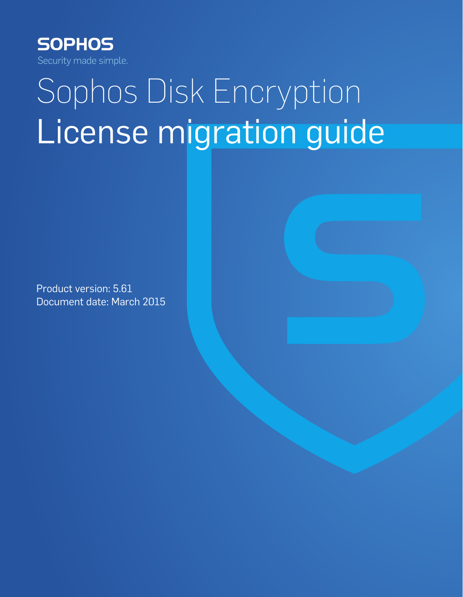

# Sophos Disk Encryption License migration guide

Product version: 5.61 Document date: March 2015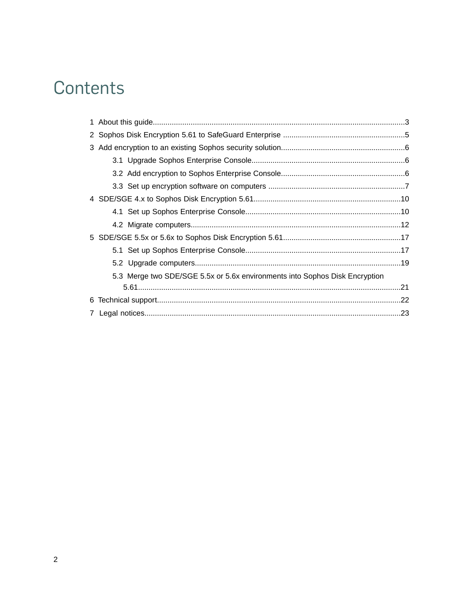## Contents

| 5.3 Merge two SDE/SGE 5.5x or 5.6x environments into Sophos Disk Encryption |  |
|-----------------------------------------------------------------------------|--|
|                                                                             |  |
| 6                                                                           |  |
|                                                                             |  |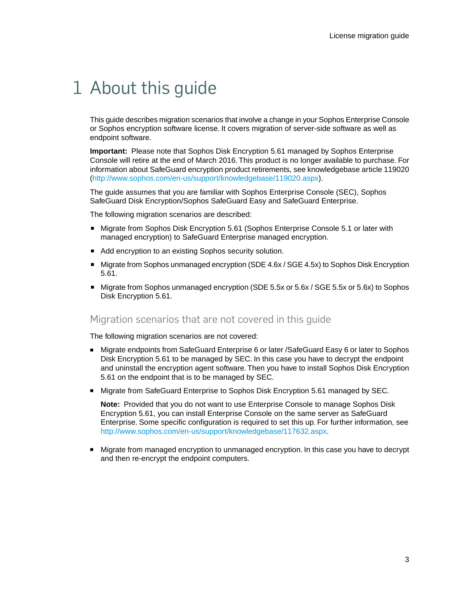## <span id="page-2-0"></span>1 About this guide

This guide describes migration scenarios that involve a change in your Sophos Enterprise Console or Sophos encryption software license. It covers migration of server-side software as well as endpoint software.

**Important:** Please note that Sophos Disk Encryption 5.61 managed by Sophos Enterprise Console will retire at the end of March 2016. This product is no longer available to purchase. For information about SafeGuard encryption product retirements, see knowledgebase article 119020 [\(http://www.sophos.com/en-us/support/knowledgebase/119020.aspx](http://www.sophos.com/en-us/support/knowledgebase/119020.aspx)).

The guide assumes that you are familiar with Sophos Enterprise Console (SEC), Sophos SafeGuard Disk Encryption/Sophos SafeGuard Easy and SafeGuard Enterprise.

The following migration scenarios are described:

- Migrate from Sophos Disk Encryption 5.61 (Sophos Enterprise Console 5.1 or later with managed encryption) to SafeGuard Enterprise managed encryption.
- Add encryption to an existing Sophos security solution.
- Migrate from Sophos unmanaged encryption (SDE 4.6x / SGE 4.5x) to Sophos Disk Encryption 5.61.
- Migrate from Sophos unmanaged encryption (SDE 5.5x or 5.6x / SGE 5.5x or 5.6x) to Sophos Disk Encryption 5.61.

### Migration scenarios that are not covered in this guide

The following migration scenarios are not covered:

- Migrate endpoints from SafeGuard Enterprise 6 or later / SafeGuard Easy 6 or later to Sophos Disk Encryption 5.61 to be managed by SEC. In this case you have to decrypt the endpoint and uninstall the encryption agent software. Then you have to install Sophos Disk Encryption 5.61 on the endpoint that is to be managed by SEC.
- Migrate from SafeGuard Enterprise to Sophos Disk Encryption 5.61 managed by SEC.

**Note:** Provided that you do not want to use Enterprise Console to manage Sophos Disk Encryption 5.61, you can install Enterprise Console on the same server as SafeGuard Enterprise. Some specific configuration is required to set this up. For further information, see <http://www.sophos.com/en-us/support/knowledgebase/117632.aspx>.

■ Migrate from managed encryption to unmanaged encryption. In this case you have to decrypt and then re-encrypt the endpoint computers.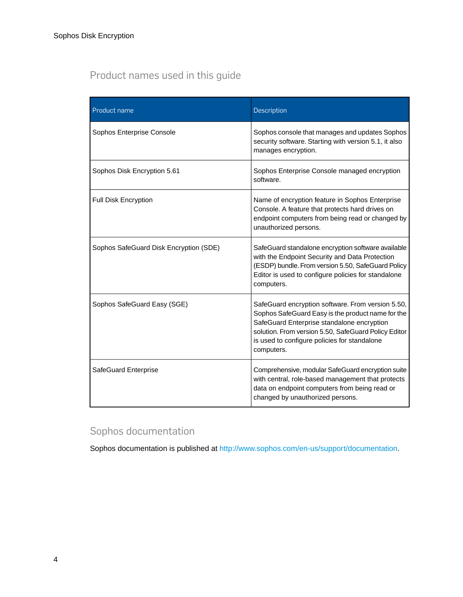## Product names used in this guide

| Product name                           | Description                                                                                                                                                                                                                                                                |
|----------------------------------------|----------------------------------------------------------------------------------------------------------------------------------------------------------------------------------------------------------------------------------------------------------------------------|
| Sophos Enterprise Console              | Sophos console that manages and updates Sophos<br>security software. Starting with version 5.1, it also<br>manages encryption.                                                                                                                                             |
| Sophos Disk Encryption 5.61            | Sophos Enterprise Console managed encryption<br>software.                                                                                                                                                                                                                  |
| Full Disk Encryption                   | Name of encryption feature in Sophos Enterprise<br>Console. A feature that protects hard drives on<br>endpoint computers from being read or changed by<br>unauthorized persons.                                                                                            |
| Sophos SafeGuard Disk Encryption (SDE) | SafeGuard standalone encryption software available<br>with the Endpoint Security and Data Protection<br>(ESDP) bundle. From version 5.50, SafeGuard Policy<br>Editor is used to configure policies for standalone<br>computers.                                            |
| Sophos SafeGuard Easy (SGE)            | SafeGuard encryption software. From version 5.50,<br>Sophos SafeGuard Easy is the product name for the<br>SafeGuard Enterprise standalone encryption<br>solution. From version 5.50, SafeGuard Policy Editor<br>is used to configure policies for standalone<br>computers. |
| SafeGuard Enterprise                   | Comprehensive, modular SafeGuard encryption suite<br>with central, role-based management that protects<br>data on endpoint computers from being read or<br>changed by unauthorized persons.                                                                                |

## Sophos documentation

Sophos documentation is published at [http://www.sophos.com/en-us/support/documentation.](http://www.sophos.com/en-us/support/documentation)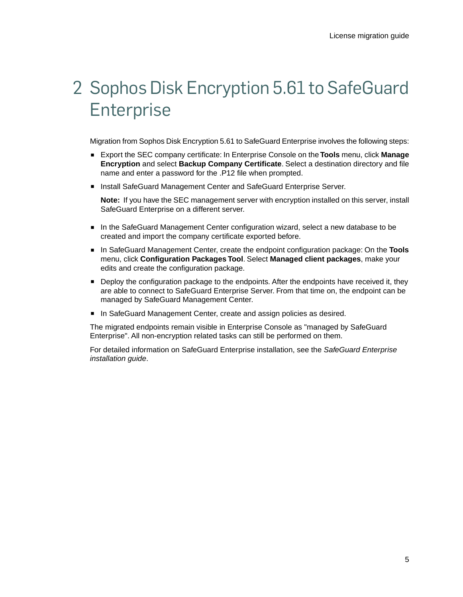## <span id="page-4-0"></span>2 Sophos Disk Encryption 5.61 to SafeGuard **Enterprise**

Migration from Sophos Disk Encryption 5.61 to SafeGuard Enterprise involves the following steps:

- Export the SEC company certificate: In Enterprise Console on the **Tools** menu, click **Manage Encryption** and select **Backup Company Certificate**. Select a destination directory and file name and enter a password for the .P12 file when prompted.
- Install SafeGuard Management Center and SafeGuard Enterprise Server.

**Note:** If you have the SEC management server with encryption installed on this server, install SafeGuard Enterprise on a different server.

- In the SafeGuard Management Center configuration wizard, select a new database to be created and import the company certificate exported before.
- In SafeGuard Management Center, create the endpoint configuration package: On the **Tools** menu, click **Configuration Packages Tool**. Select **Managed client packages**, make your edits and create the configuration package.
- Deploy the configuration package to the endpoints. After the endpoints have received it, they are able to connect to SafeGuard Enterprise Server. From that time on, the endpoint can be managed by SafeGuard Management Center.
- In SafeGuard Management Center, create and assign policies as desired.

The migrated endpoints remain visible in Enterprise Console as "managed by SafeGuard Enterprise". All non-encryption related tasks can still be performed on them.

For detailed information on SafeGuard Enterprise installation, see the *SafeGuard Enterprise installation guide*.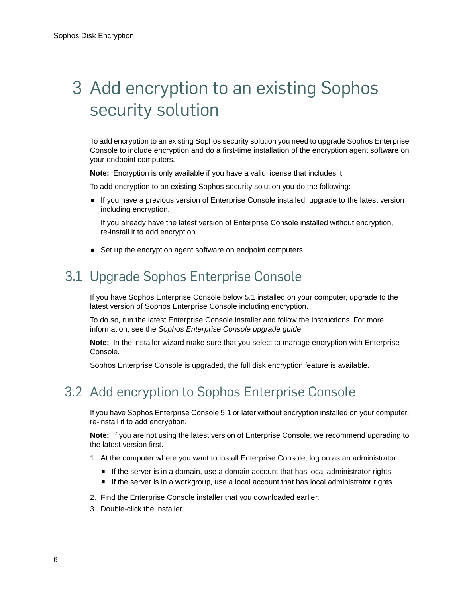## <span id="page-5-0"></span>3 Add encryption to an existing Sophos security solution

To add encryption to an existing Sophos security solution you need to upgrade Sophos Enterprise Console to include encryption and do a first-time installation of the encryption agent software on your endpoint computers.

**Note:** Encryption is only available if you have a valid license that includes it.

To add encryption to an existing Sophos security solution you do the following:

■ If you have a previous version of Enterprise Console installed, upgrade to the latest version including encryption.

If you already have the latest version of Enterprise Console installed without encryption, re-install it to add encryption.

■ Set up the encryption agent software on endpoint computers.

## <span id="page-5-1"></span>3.1 Upgrade Sophos Enterprise Console

If you have Sophos Enterprise Console below 5.1 installed on your computer, upgrade to the latest version of Sophos Enterprise Console including encryption.

To do so, run the latest Enterprise Console installer and follow the instructions. For more information, see the *Sophos Enterprise Console upgrade guide*.

**Note:** In the installer wizard make sure that you select to manage encryption with Enterprise Console.

Sophos Enterprise Console is upgraded, the full disk encryption feature is available.

## <span id="page-5-2"></span>3.2 Add encryption to Sophos Enterprise Console

If you have Sophos Enterprise Console 5.1 or later without encryption installed on your computer, re-install it to add encryption.

**Note:** If you are not using the latest version of Enterprise Console, we recommend upgrading to the latest version first.

- 1. At the computer where you want to install Enterprise Console, log on as an administrator:
	- If the server is in a domain, use a domain account that has local administrator rights.
	- If the server is in a workgroup, use a local account that has local administrator rights.
- 2. Find the Enterprise Console installer that you downloaded earlier.
- 3. Double-click the installer.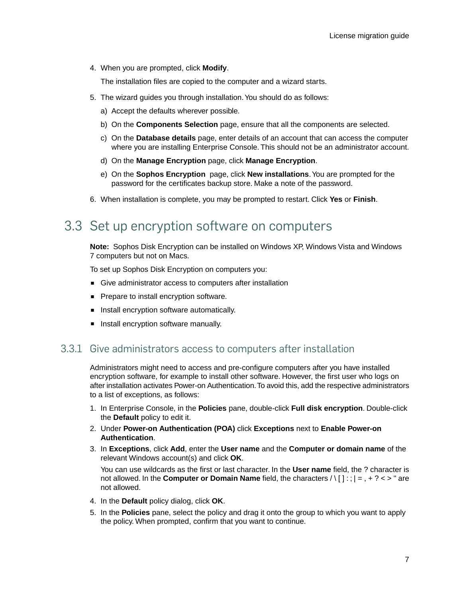4. When you are prompted, click **Modify**.

The installation files are copied to the computer and a wizard starts.

- 5. The wizard guides you through installation.You should do as follows:
	- a) Accept the defaults wherever possible.
	- b) On the **Components Selection** page, ensure that all the components are selected.
	- c) On the **Database details** page, enter details of an account that can access the computer where you are installing Enterprise Console. This should not be an administrator account.
	- d) On the **Manage Encryption** page, click **Manage Encryption**.
	- e) On the **Sophos Encryption** page, click **New installations**.You are prompted for the password for the certificates backup store. Make a note of the password.
- 6. When installation is complete, you may be prompted to restart. Click **Yes** or **Finish**.

## <span id="page-6-0"></span>3.3 Set up encryption software on computers

**Note:** Sophos Disk Encryption can be installed on Windows XP, Windows Vista and Windows 7 computers but not on Macs.

To set up Sophos Disk Encryption on computers you:

- Give administrator access to computers after installation
- Prepare to install encryption software.
- Install encryption software automatically.
- Install encryption software manually.

### 3.3.1 Give administrators access to computers after installation

Administrators might need to access and pre-configure computers after you have installed encryption software, for example to install other software. However, the first user who logs on after installation activates Power-on Authentication.To avoid this, add the respective administrators to a list of exceptions, as follows:

- 1. In Enterprise Console, in the **Policies** pane, double-click **Full disk encryption**. Double-click the **Default** policy to edit it.
- 2. Under **Power-on Authentication (POA)** click **Exceptions** next to **Enable Power-on Authentication**.
- 3. In **Exceptions**, click **Add**, enter the **User name** and the **Computer or domain name** of the relevant Windows account(s) and click **OK**.

You can use wildcards as the first or last character. In the **User name** field, the ? character is not allowed. In the **Computer or Domain Name** field, the characters / \ [ ] : ; | = , + ? < > " are not allowed.

- 4. In the **Default** policy dialog, click **OK**.
- 5. In the **Policies** pane, select the policy and drag it onto the group to which you want to apply the policy. When prompted, confirm that you want to continue.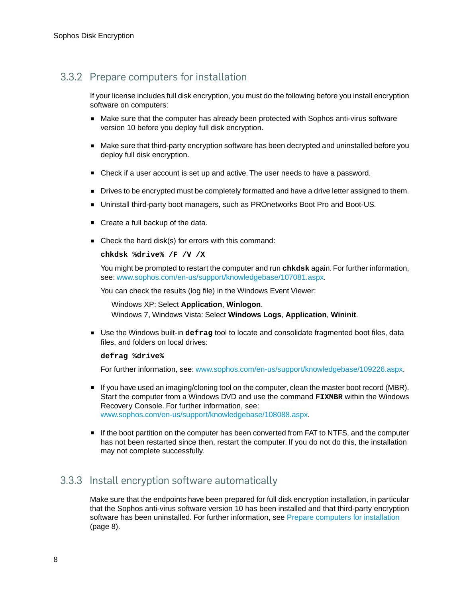## <span id="page-7-0"></span>3.3.2 Prepare computers for installation

If your license includes full disk encryption, you must do the following before you install encryption software on computers:

- Make sure that the computer has already been protected with Sophos anti-virus software version 10 before you deploy full disk encryption.
- Make sure that third-party encryption software has been decrypted and uninstalled before you deploy full disk encryption.
- Check if a user account is set up and active. The user needs to have a password.
- Drives to be encrypted must be completely formatted and have a drive letter assigned to them.
- Uninstall third-party boot managers, such as PROnetworks Boot Pro and Boot-US.
- Create a full backup of the data.
- Check the hard disk(s) for errors with this command:

#### **chkdsk %drive% /F /V /X**

You might be prompted to restart the computer and run **chkdsk** again. For further information, see: [www.sophos.com/en-us/support/knowledgebase/107081.aspx](http://www.sophos.com/en-us/support/knowledgebase/107081.aspx).

You can check the results (log file) in the Windows Event Viewer:

Windows XP: Select **Application**, **Winlogon**. Windows 7, Windows Vista: Select **Windows Logs**, **Application**, **Wininit**.

■ Use the Windows built-in defrag tool to locate and consolidate fragmented boot files, data files, and folders on local drives:

#### **defrag %drive%**

For further information, see: [www.sophos.com/en-us/support/knowledgebase/109226.aspx](http://www.sophos.com/en-us/support/knowledgebase/109226.aspx).

- If you have used an imaging/cloning tool on the computer, clean the master boot record (MBR). Start the computer from a Windows DVD and use the command **FIXMBR** within the Windows Recovery Console. For further information, see: [www.sophos.com/en-us/support/knowledgebase/108088.aspx](http://www.sophos.com/en-us/support/knowledgebase/108088.aspx).
- If the boot partition on the computer has been converted from FAT to NTFS, and the computer has not been restarted since then, restart the computer. If you do not do this, the installation may not complete successfully.

## 3.3.3 Install encryption software automatically

Make sure that the endpoints have been prepared for full disk encryption installation, in particular that the Sophos anti-virus software version 10 has been installed and that third-party encryption software has been uninstalled. For further information, see [Prepare computers for installation](#page-7-0) (page 8).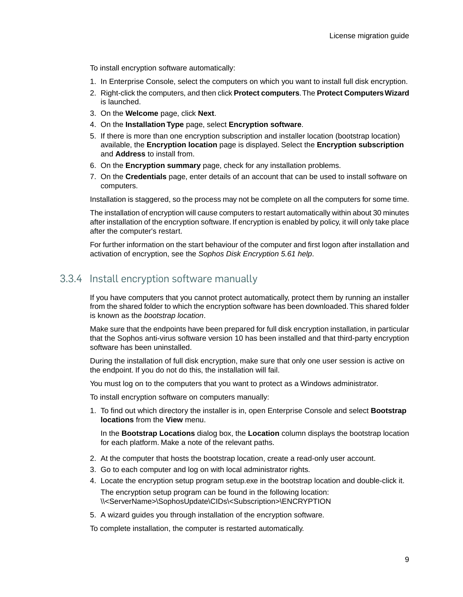To install encryption software automatically:

- 1. In Enterprise Console, select the computers on which you want to install full disk encryption.
- 2. Right-click the computers, and then click **Protect computers**.The **Protect Computers Wizard** is launched.
- 3. On the **Welcome** page, click **Next**.
- 4. On the **Installation Type** page, select **Encryption software**.
- 5. If there is more than one encryption subscription and installer location (bootstrap location) available, the **Encryption location** page is displayed. Select the **Encryption subscription** and **Address** to install from.
- 6. On the **Encryption summary** page, check for any installation problems.
- 7. On the **Credentials** page, enter details of an account that can be used to install software on computers.

Installation is staggered, so the process may not be complete on all the computers for some time.

The installation of encryption will cause computers to restart automatically within about 30 minutes after installation of the encryption software. If encryption is enabled by policy, it will only take place after the computer's restart.

For further information on the start behaviour of the computer and first logon after installation and activation of encryption, see the *Sophos Disk Encryption 5.61 help*.

### 3.3.4 Install encryption software manually

If you have computers that you cannot protect automatically, protect them by running an installer from the shared folder to which the encryption software has been downloaded.This shared folder is known as the *bootstrap location*.

Make sure that the endpoints have been prepared for full disk encryption installation, in particular that the Sophos anti-virus software version 10 has been installed and that third-party encryption software has been uninstalled.

During the installation of full disk encryption, make sure that only one user session is active on the endpoint. If you do not do this, the installation will fail.

You must log on to the computers that you want to protect as a Windows administrator.

To install encryption software on computers manually:

1. To find out which directory the installer is in, open Enterprise Console and select **Bootstrap locations** from the **View** menu.

In the **Bootstrap Locations** dialog box, the **Location** column displays the bootstrap location for each platform. Make a note of the relevant paths.

- 2. At the computer that hosts the bootstrap location, create a read-only user account.
- 3. Go to each computer and log on with local administrator rights.
- 4. Locate the encryption setup program setup.exe in the bootstrap location and double-click it. The encryption setup program can be found in the following location: \\<ServerName>\SophosUpdate\CIDs\<Subscription>\ENCRYPTION
- 5. A wizard guides you through installation of the encryption software.

To complete installation, the computer is restarted automatically.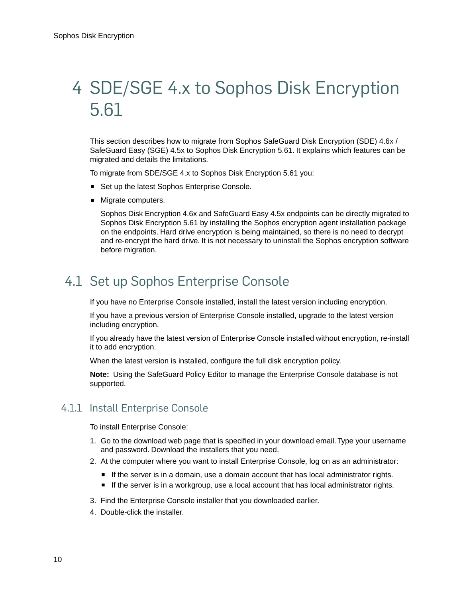## <span id="page-9-0"></span>4 SDE/SGE 4.x to Sophos Disk Encryption 5.61

This section describes how to migrate from Sophos SafeGuard Disk Encryption (SDE) 4.6x / SafeGuard Easy (SGE) 4.5x to Sophos Disk Encryption 5.61. It explains which features can be migrated and details the limitations.

To migrate from SDE/SGE 4.x to Sophos Disk Encryption 5.61 you:

- Set up the latest Sophos Enterprise Console.
- Migrate computers.

Sophos Disk Encryption 4.6x and SafeGuard Easy 4.5x endpoints can be directly migrated to Sophos Disk Encryption 5.61 by installing the Sophos encryption agent installation package on the endpoints. Hard drive encryption is being maintained, so there is no need to decrypt and re-encrypt the hard drive. It is not necessary to uninstall the Sophos encryption software before migration.

## <span id="page-9-1"></span>4.1 Set up Sophos Enterprise Console

If you have no Enterprise Console installed, install the latest version including encryption.

If you have a previous version of Enterprise Console installed, upgrade to the latest version including encryption.

If you already have the latest version of Enterprise Console installed without encryption, re-install it to add encryption.

When the latest version is installed, configure the full disk encryption policy.

**Note:** Using the SafeGuard Policy Editor to manage the Enterprise Console database is not supported.

### 4.1.1 Install Enterprise Console

To install Enterprise Console:

- 1. Go to the download web page that is specified in your download email. Type your username and password. Download the installers that you need.
- 2. At the computer where you want to install Enterprise Console, log on as an administrator:
	- If the server is in a domain, use a domain account that has local administrator rights.
	- If the server is in a workgroup, use a local account that has local administrator rights.
- 3. Find the Enterprise Console installer that you downloaded earlier.
- 4. Double-click the installer.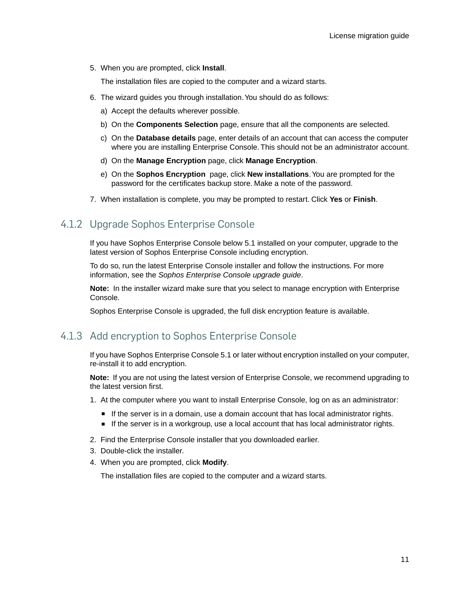5. When you are prompted, click **Install**.

The installation files are copied to the computer and a wizard starts.

- 6. The wizard guides you through installation.You should do as follows:
	- a) Accept the defaults wherever possible.
	- b) On the **Components Selection** page, ensure that all the components are selected.
	- c) On the **Database details** page, enter details of an account that can access the computer where you are installing Enterprise Console. This should not be an administrator account.
	- d) On the **Manage Encryption** page, click **Manage Encryption**.
	- e) On the **Sophos Encryption** page, click **New installations**.You are prompted for the password for the certificates backup store. Make a note of the password.
- 7. When installation is complete, you may be prompted to restart. Click **Yes** or **Finish**.

## 4.1.2 Upgrade Sophos Enterprise Console

If you have Sophos Enterprise Console below 5.1 installed on your computer, upgrade to the latest version of Sophos Enterprise Console including encryption.

To do so, run the latest Enterprise Console installer and follow the instructions. For more information, see the *Sophos Enterprise Console upgrade guide*.

**Note:** In the installer wizard make sure that you select to manage encryption with Enterprise Console.

Sophos Enterprise Console is upgraded, the full disk encryption feature is available.

## 4.1.3 Add encryption to Sophos Enterprise Console

If you have Sophos Enterprise Console 5.1 or later without encryption installed on your computer, re-install it to add encryption.

**Note:** If you are not using the latest version of Enterprise Console, we recommend upgrading to the latest version first.

- 1. At the computer where you want to install Enterprise Console, log on as an administrator:
	- If the server is in a domain, use a domain account that has local administrator rights.
	- If the server is in a workgroup, use a local account that has local administrator rights.
- 2. Find the Enterprise Console installer that you downloaded earlier.
- 3. Double-click the installer.
- 4. When you are prompted, click **Modify**.

The installation files are copied to the computer and a wizard starts.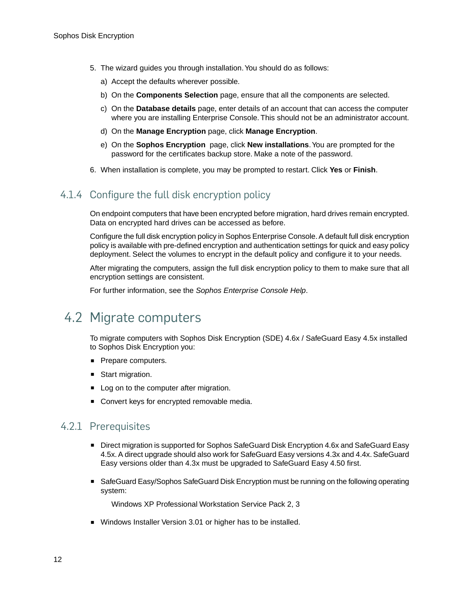- 5. The wizard guides you through installation.You should do as follows:
	- a) Accept the defaults wherever possible.
	- b) On the **Components Selection** page, ensure that all the components are selected.
	- c) On the **Database details** page, enter details of an account that can access the computer where you are installing Enterprise Console. This should not be an administrator account.
	- d) On the **Manage Encryption** page, click **Manage Encryption**.
	- e) On the **Sophos Encryption** page, click **New installations**.You are prompted for the password for the certificates backup store. Make a note of the password.
- 6. When installation is complete, you may be prompted to restart. Click **Yes** or **Finish**.

## 4.1.4 Configure the full disk encryption policy

On endpoint computers that have been encrypted before migration, hard drives remain encrypted. Data on encrypted hard drives can be accessed as before.

Configure the full disk encryption policy in Sophos Enterprise Console. A default full disk encryption policy is available with pre-defined encryption and authentication settings for quick and easy policy deployment. Select the volumes to encrypt in the default policy and configure it to your needs.

After migrating the computers, assign the full disk encryption policy to them to make sure that all encryption settings are consistent.

For further information, see the *Sophos Enterprise Console Help*.

## <span id="page-11-0"></span>4.2 Migrate computers

To migrate computers with Sophos Disk Encryption (SDE) 4.6x / SafeGuard Easy 4.5x installed to Sophos Disk Encryption you:

- Prepare computers.
- Start migration.
- Log on to the computer after migration.
- Convert keys for encrypted removable media.

## 4.2.1 Prerequisites

- Direct migration is supported for Sophos SafeGuard Disk Encryption 4.6x and SafeGuard Easy 4.5x. A direct upgrade should also work for SafeGuard Easy versions 4.3x and 4.4x. SafeGuard Easy versions older than 4.3x must be upgraded to SafeGuard Easy 4.50 first.
- SafeGuard Easy/Sophos SafeGuard Disk Encryption must be running on the following operating system:

Windows XP Professional Workstation Service Pack 2, 3

■ Windows Installer Version 3.01 or higher has to be installed.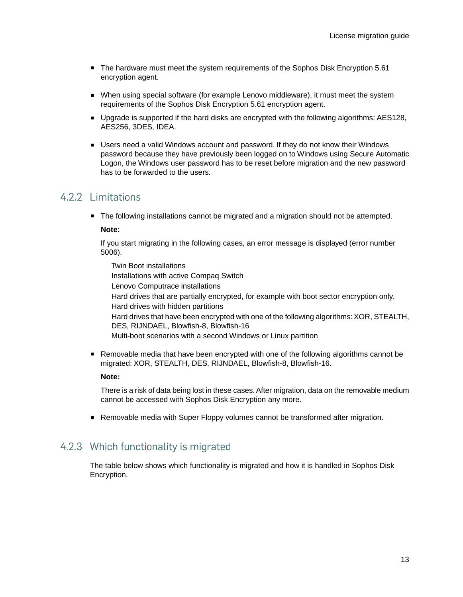- The hardware must meet the system requirements of the Sophos Disk Encryption 5.61 encryption agent.
- When using special software (for example Lenovo middleware), it must meet the system requirements of the Sophos Disk Encryption 5.61 encryption agent.
- Upgrade is supported if the hard disks are encrypted with the following algorithms: AES128, AES256, 3DES, IDEA.
- Users need a valid Windows account and password. If they do not know their Windows password because they have previously been logged on to Windows using Secure Automatic Logon, the Windows user password has to be reset before migration and the new password has to be forwarded to the users.

### 4.2.2 Limitations

■ The following installations cannot be migrated and a migration should not be attempted.

#### **Note:**

If you start migrating in the following cases, an error message is displayed (error number 5006).

Twin Boot installations Installations with active Compaq Switch Lenovo Computrace installations Hard drives that are partially encrypted, for example with boot sector encryption only. Hard drives with hidden partitions Hard drives that have been encrypted with one of the following algorithms: XOR, STEALTH, DES, RIJNDAEL, Blowfish-8, Blowfish-16 Multi-boot scenarios with a second Windows or Linux partition

■ Removable media that have been encrypted with one of the following algorithms cannot be migrated: XOR, STEALTH, DES, RIJNDAEL, Blowfish-8, Blowfish-16.

#### **Note:**

There is a risk of data being lost in these cases. After migration, data on the removable medium cannot be accessed with Sophos Disk Encryption any more.

■ Removable media with Super Floppy volumes cannot be transformed after migration.

### 4.2.3 Which functionality is migrated

The table below shows which functionality is migrated and how it is handled in Sophos Disk Encryption.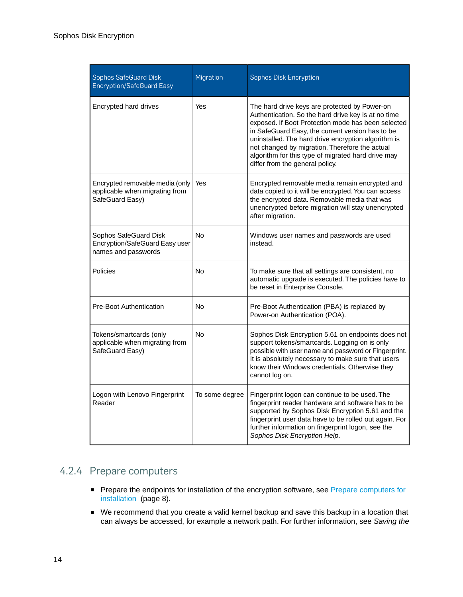| Sophos SafeGuard Disk<br><b>Encryption/SafeGuard Easy</b>                            | Migration      | <b>Sophos Disk Encryption</b>                                                                                                                                                                                                                                                                                                                                                                                    |
|--------------------------------------------------------------------------------------|----------------|------------------------------------------------------------------------------------------------------------------------------------------------------------------------------------------------------------------------------------------------------------------------------------------------------------------------------------------------------------------------------------------------------------------|
| Encrypted hard drives                                                                | Yes            | The hard drive keys are protected by Power-on<br>Authentication. So the hard drive key is at no time<br>exposed. If Boot Protection mode has been selected<br>in SafeGuard Easy, the current version has to be<br>uninstalled. The hard drive encryption algorithm is<br>not changed by migration. Therefore the actual<br>algorithm for this type of migrated hard drive may<br>differ from the general policy. |
| Encrypted removable media (only<br>applicable when migrating from<br>SafeGuard Easy) | Yes            | Encrypted removable media remain encrypted and<br>data copied to it will be encrypted. You can access<br>the encrypted data. Removable media that was<br>unencrypted before migration will stay unencrypted<br>after migration.                                                                                                                                                                                  |
| Sophos SafeGuard Disk<br>Encryption/SafeGuard Easy user<br>names and passwords       | N <sub>o</sub> | Windows user names and passwords are used<br>instead.                                                                                                                                                                                                                                                                                                                                                            |
| Policies                                                                             | No             | To make sure that all settings are consistent, no<br>automatic upgrade is executed. The policies have to<br>be reset in Enterprise Console.                                                                                                                                                                                                                                                                      |
| <b>Pre-Boot Authentication</b>                                                       | No             | Pre-Boot Authentication (PBA) is replaced by<br>Power-on Authentication (POA).                                                                                                                                                                                                                                                                                                                                   |
| Tokens/smartcards (only<br>applicable when migrating from<br>SafeGuard Easy)         | No             | Sophos Disk Encryption 5.61 on endpoints does not<br>support tokens/smartcards. Logging on is only<br>possible with user name and password or Fingerprint.<br>It is absolutely necessary to make sure that users<br>know their Windows credentials. Otherwise they<br>cannot log on.                                                                                                                             |
| Logon with Lenovo Fingerprint<br>Reader                                              | To some degree | Fingerprint logon can continue to be used. The<br>fingerprint reader hardware and software has to be<br>supported by Sophos Disk Encryption 5.61 and the<br>fingerprint user data have to be rolled out again. For<br>further information on fingerprint logon, see the<br>Sophos Disk Encryption Help.                                                                                                          |

## 4.2.4 Prepare computers

- Prepare the endpoints for installation of the encryption software, see [Prepare computers for](#page-7-0) [installation](#page-7-0) (page 8).
- We recommend that you create a valid kernel backup and save this backup in a location that can always be accessed, for example a network path. For further information, see *Saving the*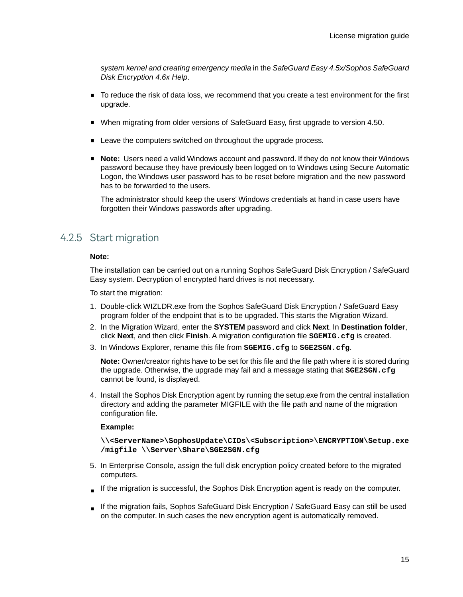*system kernel and creating emergency media* in the *SafeGuard Easy 4.5x/Sophos SafeGuard Disk Encryption 4.6x Help*.

- To reduce the risk of data loss, we recommend that you create a test environment for the first upgrade.
- When migrating from older versions of SafeGuard Easy, first upgrade to version 4.50.
- Leave the computers switched on throughout the upgrade process.
- **Note:** Users need a valid Windows account and password. If they do not know their Windows password because they have previously been logged on to Windows using Secure Automatic Logon, the Windows user password has to be reset before migration and the new password has to be forwarded to the users.

The administrator should keep the users' Windows credentials at hand in case users have forgotten their Windows passwords after upgrading.

## 4.2.5 Start migration

#### **Note:**

The installation can be carried out on a running Sophos SafeGuard Disk Encryption / SafeGuard Easy system. Decryption of encrypted hard drives is not necessary.

To start the migration:

- 1. Double-click WIZLDR.exe from the Sophos SafeGuard Disk Encryption / SafeGuard Easy program folder of the endpoint that is to be upgraded. This starts the Migration Wizard.
- 2. In the Migration Wizard, enter the **SYSTEM** password and click **Next**. In **Destination folder**, click **Next**, and then click **Finish**. A migration configuration file **SGEMIG.cfg** is created.
- 3. In Windows Explorer, rename this file from **SGEMIG.cfg** to **SGE2SGN.cfg**.

**Note:** Owner/creator rights have to be set for this file and the file path where it is stored during the upgrade. Otherwise, the upgrade may fail and a message stating that **SGE2SGN.cfg** cannot be found, is displayed.

4. Install the Sophos Disk Encryption agent by running the setup.exe from the central installation directory and adding the parameter MIGFILE with the file path and name of the migration configuration file.

#### **Example:**

**\\<ServerName>\SophosUpdate\CIDs\<Subscription>\ENCRYPTION\Setup.exe /migfile \\Server\Share\SGE2SGN.cfg**

- 5. In Enterprise Console, assign the full disk encryption policy created before to the migrated computers.
- If the migration is successful, the Sophos Disk Encryption agent is ready on the computer.
- If the migration fails, Sophos SafeGuard Disk Encryption / SafeGuard Easy can still be used on the computer. In such cases the new encryption agent is automatically removed.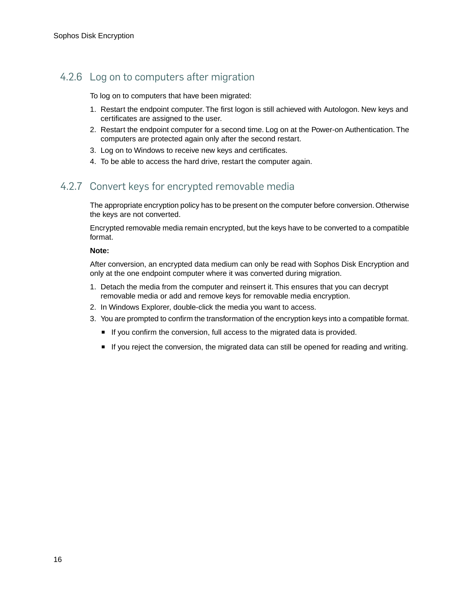## 4.2.6 Log on to computers after migration

To log on to computers that have been migrated:

- 1. Restart the endpoint computer. The first logon is still achieved with Autologon. New keys and certificates are assigned to the user.
- 2. Restart the endpoint computer for a second time. Log on at the Power-on Authentication. The computers are protected again only after the second restart.
- 3. Log on to Windows to receive new keys and certificates.
- 4. To be able to access the hard drive, restart the computer again.

## 4.2.7 Convert keys for encrypted removable media

The appropriate encryption policy has to be present on the computer before conversion. Otherwise the keys are not converted.

Encrypted removable media remain encrypted, but the keys have to be converted to a compatible format.

#### **Note:**

After conversion, an encrypted data medium can only be read with Sophos Disk Encryption and only at the one endpoint computer where it was converted during migration.

- 1. Detach the media from the computer and reinsert it. This ensures that you can decrypt removable media or add and remove keys for removable media encryption.
- 2. In Windows Explorer, double-click the media you want to access.
- 3. You are prompted to confirm the transformation of the encryption keys into a compatible format.
	- If you confirm the conversion, full access to the migrated data is provided.
	- If you reject the conversion, the migrated data can still be opened for reading and writing.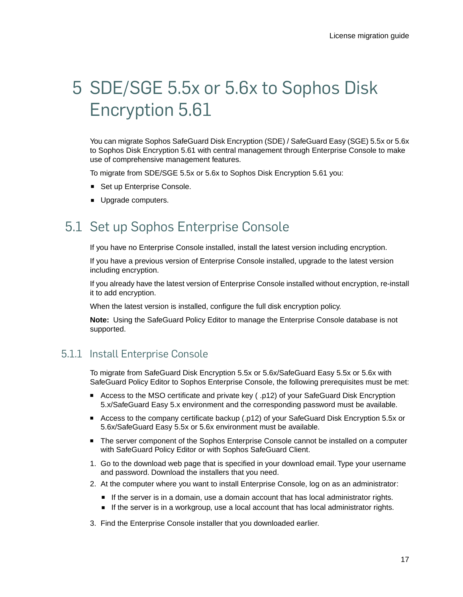## <span id="page-16-0"></span>5 SDE/SGE 5.5x or 5.6x to Sophos Disk Encryption 5.61

You can migrate Sophos SafeGuard Disk Encryption (SDE) / SafeGuard Easy (SGE) 5.5x or 5.6x to Sophos Disk Encryption 5.61 with central management through Enterprise Console to make use of comprehensive management features.

To migrate from SDE/SGE 5.5x or 5.6x to Sophos Disk Encryption 5.61 you:

- Set up Enterprise Console.
- Upgrade computers.

## <span id="page-16-1"></span>5.1 Set up Sophos Enterprise Console

If you have no Enterprise Console installed, install the latest version including encryption.

If you have a previous version of Enterprise Console installed, upgrade to the latest version including encryption.

If you already have the latest version of Enterprise Console installed without encryption, re-install it to add encryption.

When the latest version is installed, configure the full disk encryption policy.

**Note:** Using the SafeGuard Policy Editor to manage the Enterprise Console database is not supported.

## 5.1.1 Install Enterprise Console

To migrate from SafeGuard Disk Encryption 5.5x or 5.6x/SafeGuard Easy 5.5x or 5.6x with SafeGuard Policy Editor to Sophos Enterprise Console, the following prerequisites must be met:

- Access to the MSO certificate and private key ( .p12) of your SafeGuard Disk Encryption 5.x/SafeGuard Easy 5.x environment and the corresponding password must be available.
- Access to the company certificate backup (.p12) of your SafeGuard Disk Encryption 5.5x or 5.6x/SafeGuard Easy 5.5x or 5.6x environment must be available.
- The server component of the Sophos Enterprise Console cannot be installed on a computer with SafeGuard Policy Editor or with Sophos SafeGuard Client.
- 1. Go to the download web page that is specified in your download email. Type your username and password. Download the installers that you need.
- 2. At the computer where you want to install Enterprise Console, log on as an administrator:
	- If the server is in a domain, use a domain account that has local administrator rights.
	- If the server is in a workgroup, use a local account that has local administrator rights.
- 3. Find the Enterprise Console installer that you downloaded earlier.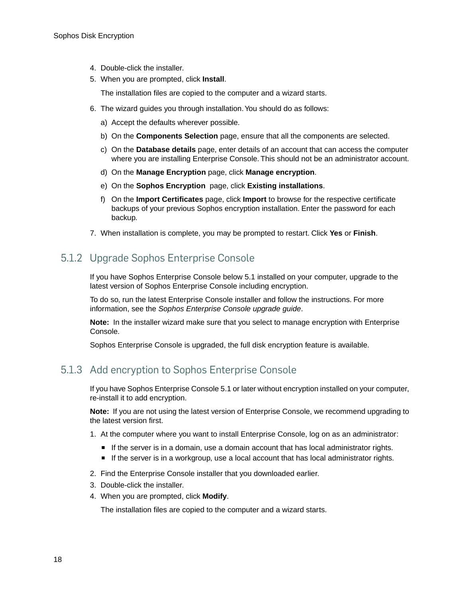- 4. Double-click the installer.
- 5. When you are prompted, click **Install**.

The installation files are copied to the computer and a wizard starts.

- 6. The wizard guides you through installation.You should do as follows:
	- a) Accept the defaults wherever possible.
	- b) On the **Components Selection** page, ensure that all the components are selected.
	- c) On the **Database details** page, enter details of an account that can access the computer where you are installing Enterprise Console. This should not be an administrator account.
	- d) On the **Manage Encryption** page, click **Manage encryption**.
	- e) On the **Sophos Encryption** page, click **Existing installations**.
	- f) On the **Import Certificates** page, click **Import** to browse for the respective certificate backups of your previous Sophos encryption installation. Enter the password for each backup.
- 7. When installation is complete, you may be prompted to restart. Click **Yes** or **Finish**.

## 5.1.2 Upgrade Sophos Enterprise Console

If you have Sophos Enterprise Console below 5.1 installed on your computer, upgrade to the latest version of Sophos Enterprise Console including encryption.

To do so, run the latest Enterprise Console installer and follow the instructions. For more information, see the *Sophos Enterprise Console upgrade guide*.

**Note:** In the installer wizard make sure that you select to manage encryption with Enterprise Console.

Sophos Enterprise Console is upgraded, the full disk encryption feature is available.

## 5.1.3 Add encryption to Sophos Enterprise Console

If you have Sophos Enterprise Console 5.1 or later without encryption installed on your computer, re-install it to add encryption.

**Note:** If you are not using the latest version of Enterprise Console, we recommend upgrading to the latest version first.

- 1. At the computer where you want to install Enterprise Console, log on as an administrator:
	- If the server is in a domain, use a domain account that has local administrator rights.
	- If the server is in a workgroup, use a local account that has local administrator rights.
- 2. Find the Enterprise Console installer that you downloaded earlier.
- 3. Double-click the installer.
- 4. When you are prompted, click **Modify**.

The installation files are copied to the computer and a wizard starts.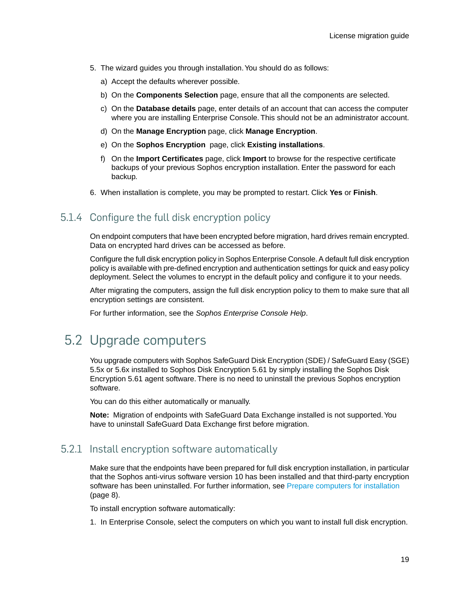- 5. The wizard guides you through installation.You should do as follows:
	- a) Accept the defaults wherever possible.
	- b) On the **Components Selection** page, ensure that all the components are selected.
	- c) On the **Database details** page, enter details of an account that can access the computer where you are installing Enterprise Console. This should not be an administrator account.
	- d) On the **Manage Encryption** page, click **Manage Encryption**.
	- e) On the **Sophos Encryption** page, click **Existing installations**.
	- f) On the **Import Certificates** page, click **Import** to browse for the respective certificate backups of your previous Sophos encryption installation. Enter the password for each backup.
- 6. When installation is complete, you may be prompted to restart. Click **Yes** or **Finish**.

## 5.1.4 Configure the full disk encryption policy

On endpoint computers that have been encrypted before migration, hard drives remain encrypted. Data on encrypted hard drives can be accessed as before.

Configure the full disk encryption policy in Sophos Enterprise Console. A default full disk encryption policy is available with pre-defined encryption and authentication settings for quick and easy policy deployment. Select the volumes to encrypt in the default policy and configure it to your needs.

After migrating the computers, assign the full disk encryption policy to them to make sure that all encryption settings are consistent.

For further information, see the *Sophos Enterprise Console Help*.

## <span id="page-18-0"></span>5.2 Upgrade computers

You upgrade computers with Sophos SafeGuard Disk Encryption (SDE) / SafeGuard Easy (SGE) 5.5x or 5.6x installed to Sophos Disk Encryption 5.61 by simply installing the Sophos Disk Encryption 5.61 agent software. There is no need to uninstall the previous Sophos encryption software.

You can do this either automatically or manually.

**Note:** Migration of endpoints with SafeGuard Data Exchange installed is not supported.You have to uninstall SafeGuard Data Exchange first before migration.

## 5.2.1 Install encryption software automatically

Make sure that the endpoints have been prepared for full disk encryption installation, in particular that the Sophos anti-virus software version 10 has been installed and that third-party encryption software has been uninstalled. For further information, see [Prepare computers for installation](#page-7-0) (page 8).

To install encryption software automatically:

1. In Enterprise Console, select the computers on which you want to install full disk encryption.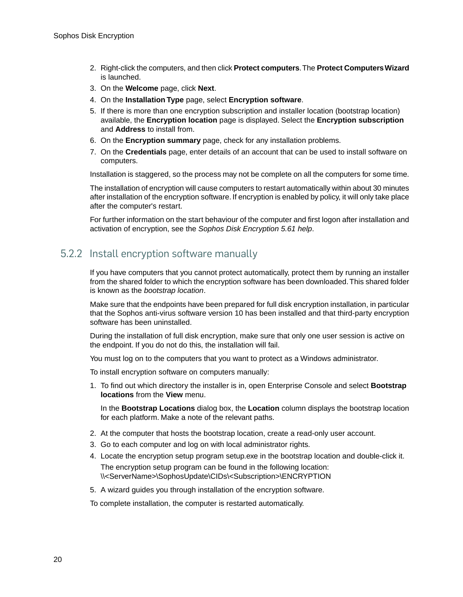- 2. Right-click the computers, and then click **Protect computers**.The **Protect Computers Wizard** is launched.
- 3. On the **Welcome** page, click **Next**.
- 4. On the **Installation Type** page, select **Encryption software**.
- 5. If there is more than one encryption subscription and installer location (bootstrap location) available, the **Encryption location** page is displayed. Select the **Encryption subscription** and **Address** to install from.
- 6. On the **Encryption summary** page, check for any installation problems.
- 7. On the **Credentials** page, enter details of an account that can be used to install software on computers.

Installation is staggered, so the process may not be complete on all the computers for some time.

The installation of encryption will cause computers to restart automatically within about 30 minutes after installation of the encryption software. If encryption is enabled by policy, it will only take place after the computer's restart.

For further information on the start behaviour of the computer and first logon after installation and activation of encryption, see the *Sophos Disk Encryption 5.61 help*.

## 5.2.2 Install encryption software manually

If you have computers that you cannot protect automatically, protect them by running an installer from the shared folder to which the encryption software has been downloaded.This shared folder is known as the *bootstrap location*.

Make sure that the endpoints have been prepared for full disk encryption installation, in particular that the Sophos anti-virus software version 10 has been installed and that third-party encryption software has been uninstalled.

During the installation of full disk encryption, make sure that only one user session is active on the endpoint. If you do not do this, the installation will fail.

You must log on to the computers that you want to protect as a Windows administrator.

To install encryption software on computers manually:

1. To find out which directory the installer is in, open Enterprise Console and select **Bootstrap locations** from the **View** menu.

In the **Bootstrap Locations** dialog box, the **Location** column displays the bootstrap location for each platform. Make a note of the relevant paths.

- 2. At the computer that hosts the bootstrap location, create a read-only user account.
- 3. Go to each computer and log on with local administrator rights.
- 4. Locate the encryption setup program setup.exe in the bootstrap location and double-click it. The encryption setup program can be found in the following location: \\<ServerName>\SophosUpdate\CIDs\<Subscription>\ENCRYPTION
- 5. A wizard guides you through installation of the encryption software.

To complete installation, the computer is restarted automatically.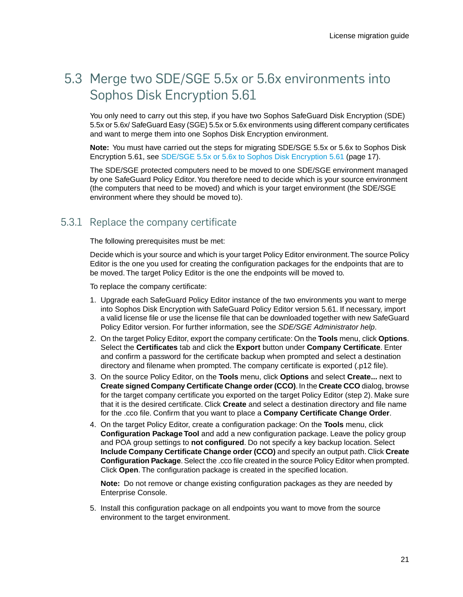## <span id="page-20-0"></span>5.3 Merge two SDE/SGE 5.5x or 5.6x environments into Sophos Disk Encryption 5.61

You only need to carry out this step, if you have two Sophos SafeGuard Disk Encryption (SDE) 5.5x or 5.6x/ SafeGuard Easy (SGE) 5.5x or 5.6x environments using different company certificates and want to merge them into one Sophos Disk Encryption environment.

**Note:** You must have carried out the steps for migrating SDE/SGE 5.5x or 5.6x to Sophos Disk Encryption 5.61, see [SDE/SGE 5.5x or 5.6x to Sophos Disk Encryption 5.61](#page-16-0) (page 17).

The SDE/SGE protected computers need to be moved to one SDE/SGE environment managed by one SafeGuard Policy Editor.You therefore need to decide which is your source environment (the computers that need to be moved) and which is your target environment (the SDE/SGE environment where they should be moved to).

### 5.3.1 Replace the company certificate

The following prerequisites must be met:

Decide which is your source and which is your target Policy Editor environment.The source Policy Editor is the one you used for creating the configuration packages for the endpoints that are to be moved. The target Policy Editor is the one the endpoints will be moved to.

To replace the company certificate:

- 1. Upgrade each SafeGuard Policy Editor instance of the two environments you want to merge into Sophos Disk Encryption with SafeGuard Policy Editor version 5.61. If necessary, import a valid license file or use the license file that can be downloaded together with new SafeGuard Policy Editor version. For further information, see the *SDE/SGE Administrator help*.
- 2. On the target Policy Editor, export the company certificate: On the **Tools** menu, click **Options**. Select the **Certificates** tab and click the **Export** button under **Company Certificate**. Enter and confirm a password for the certificate backup when prompted and select a destination directory and filename when prompted. The company certificate is exported (.p12 file).
- 3. On the source Policy Editor, on the **Tools** menu, click **Options** and select **Create...** next to **Create signed Company Certificate Change order (CCO)**. In the **Create CCO** dialog, browse for the target company certificate you exported on the target Policy Editor (step 2). Make sure that it is the desired certificate. Click **Create** and select a destination directory and file name for the .cco file. Confirm that you want to place a **Company Certificate Change Order**.
- 4. On the target Policy Editor, create a configuration package: On the **Tools** menu, click **Configuration Package Tool** and add a new configuration package. Leave the policy group and POA group settings to **not configured**. Do not specify a key backup location. Select **Include Company Certificate Change order (CCO)** and specify an output path. Click **Create Configuration Package**. Select the .cco file created in the source Policy Editor when prompted. Click **Open**. The configuration package is created in the specified location.

**Note:** Do not remove or change existing configuration packages as they are needed by Enterprise Console.

5. Install this configuration package on all endpoints you want to move from the source environment to the target environment.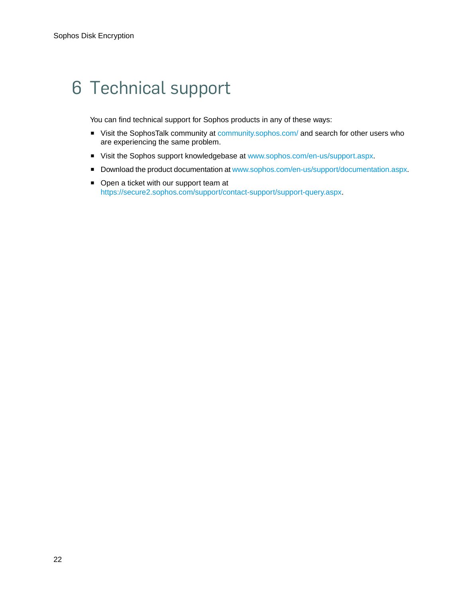## <span id="page-21-0"></span>6 Technical support

You can find technical support for Sophos products in any of these ways:

- Visit the SophosTalk community at [community.sophos.com/](http://community.sophos.com/) and search for other users who are experiencing the same problem.
- Visit the Sophos support knowledgebase at [www.sophos.com/en-us/support.aspx.](http://www.sophos.com/en-us/support.aspx)
- Download the product documentation at [www.sophos.com/en-us/support/documentation.aspx.](http://www.sophos.com/en-us/support/documentation.aspx)
- Open a ticket with our support team at <https://secure2.sophos.com/support/contact-support/support-query.aspx>.